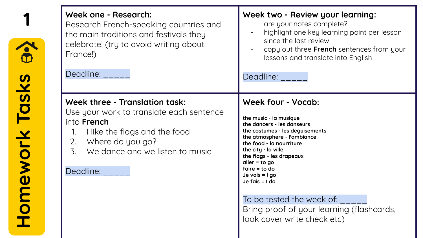| S.            | Week one - Research:<br>Research French-speaking countries and<br>the main traditions and festivals they<br>celebrate! (try to avoid writing about<br>France!)<br>Deadline:                                                                             | Week two - Review your learning:<br>are your notes complete?<br>highlight one key learning point per lesson<br>since the last review<br>copy out three French sentences from your<br>lessons and translate into English<br>Deadline:                                                                                                                                                                               |
|---------------|---------------------------------------------------------------------------------------------------------------------------------------------------------------------------------------------------------------------------------------------------------|--------------------------------------------------------------------------------------------------------------------------------------------------------------------------------------------------------------------------------------------------------------------------------------------------------------------------------------------------------------------------------------------------------------------|
| omework Tasks | Week three - Translation task:<br>Use your work to translate each sentence<br>into <b>French</b><br>I like the flags and the food<br>1.<br>Where do you go?<br>2.<br>We dance and we listen to music<br>$\overline{3}$ .<br>Deadline: <b>Deadline</b> : | Week four - Vocab:<br>the music - la musique<br>the dancers - les danseurs<br>the costumes - les deguisements<br>the atmosphere - l'ambiance<br>the food - la nourriture<br>the city - la ville<br>the flags - les drapeaux<br>$aller = to go$<br>$faire = to do$<br>Je vais $= 1$ go<br>Je fais $= 1$ do<br>To be tested the week of:<br>Bring proof of your learning (flashcards,<br>look cover write check etc) |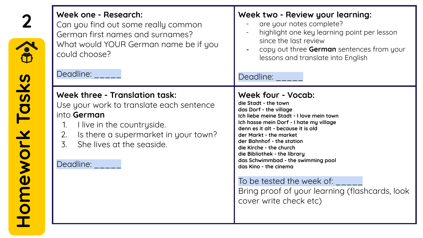| $\hat{\mathbf{e}}$ | Week one - Research:<br>Can you find out some really common<br>German first names and surnames?<br>What would YOUR German name be if you<br>could choose?<br>Deadline:                                                                              | Week two - Review your learning:<br>are your notes complete?<br>highlight one key learning point per lesson<br>since the last review<br>copy out three German sentences from your<br>lessons and translate into English<br>Deadline: _____                                                                                                                                                                                                                                                  |
|--------------------|-----------------------------------------------------------------------------------------------------------------------------------------------------------------------------------------------------------------------------------------------------|---------------------------------------------------------------------------------------------------------------------------------------------------------------------------------------------------------------------------------------------------------------------------------------------------------------------------------------------------------------------------------------------------------------------------------------------------------------------------------------------|
| mework Tasks       | Week three - Translation task:<br>Use your work to translate each sentence<br>into German<br>I live in the countryside.<br>1.<br>Is there a supermarket in your town?<br>2.<br>$\overline{3}$ .<br>She lives at the seaside.<br>Deadline: Deadline: | Week four - Vocab:<br>die Stadt - the town<br>das Dorf - the village<br>Ich liebe meine Stadt - I love mein town<br>Ich hasse mein Dorf - I hate my village<br>denn es it alt - because it is old<br>der Markt - the market<br>der Bahnhof - the station<br>die Kirche - the church<br>die Bibliothek - the library<br>das Schwimmbad - the swimming pool<br>das Kino - the cinema<br>To be tested the week of:<br>Bring proof of your learning (flashcards, look<br>cover write check etc) |